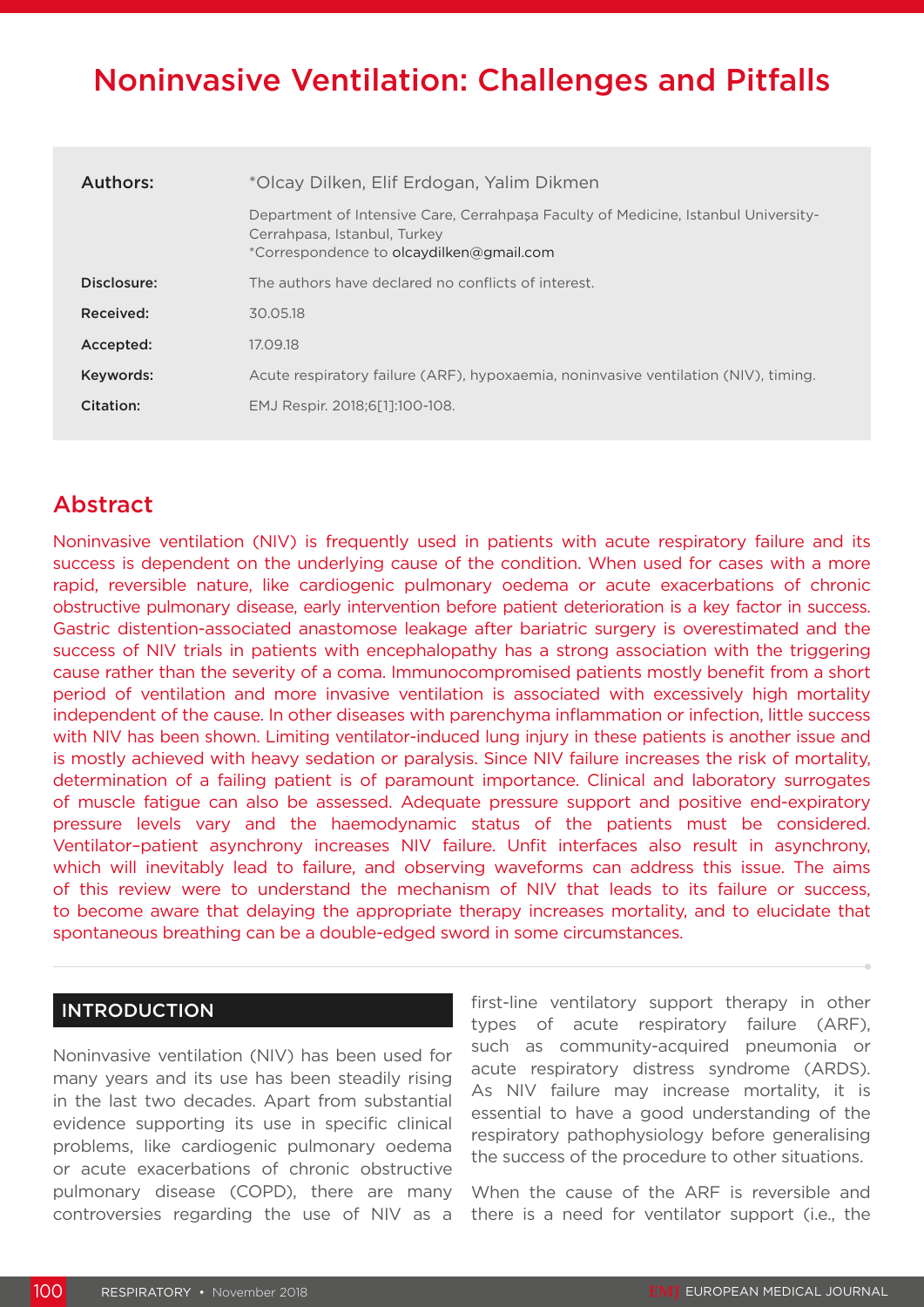# Noninvasive Ventilation: Challenges and Pitfalls

| Authors:    | *Olcay Dilken, Elif Erdogan, Yalim Dikmen                                                                                                                      |  |
|-------------|----------------------------------------------------------------------------------------------------------------------------------------------------------------|--|
|             | Department of Intensive Care, Cerrahpasa Faculty of Medicine, Istanbul University-<br>Cerrahpasa, Istanbul, Turkey<br>*Correspondence to olcaydilken@gmail.com |  |
| Disclosure: | The authors have declared no conflicts of interest.                                                                                                            |  |
| Received:   | 30.05.18                                                                                                                                                       |  |
| Accepted:   | 17.09.18                                                                                                                                                       |  |
| Keywords:   | Acute respiratory failure (ARF), hypoxaemia, noninvasive ventilation (NIV), timing.                                                                            |  |
| Citation:   | EMJ Respir. 2018;6[1]:100-108.                                                                                                                                 |  |
|             |                                                                                                                                                                |  |

## Abstract

Noninvasive ventilation (NIV) is frequently used in patients with acute respiratory failure and its success is dependent on the underlying cause of the condition. When used for cases with a more rapid, reversible nature, like cardiogenic pulmonary oedema or acute exacerbations of chronic obstructive pulmonary disease, early intervention before patient deterioration is a key factor in success. Gastric distention-associated anastomose leakage after bariatric surgery is overestimated and the success of NIV trials in patients with encephalopathy has a strong association with the triggering cause rather than the severity of a coma. Immunocompromised patients mostly benefit from a short period of ventilation and more invasive ventilation is associated with excessively high mortality independent of the cause. In other diseases with parenchyma inflammation or infection, little success with NIV has been shown. Limiting ventilator-induced lung injury in these patients is another issue and is mostly achieved with heavy sedation or paralysis. Since NIV failure increases the risk of mortality, determination of a failing patient is of paramount importance. Clinical and laboratory surrogates of muscle fatigue can also be assessed. Adequate pressure support and positive end-expiratory pressure levels vary and the haemodynamic status of the patients must be considered. Ventilator–patient asynchrony increases NIV failure. Unfit interfaces also result in asynchrony, which will inevitably lead to failure, and observing waveforms can address this issue. The aims of this review were to understand the mechanism of NIV that leads to its failure or success, to become aware that delaying the appropriate therapy increases mortality, and to elucidate that spontaneous breathing can be a double-edged sword in some circumstances.

## INTRODUCTION

Noninvasive ventilation (NIV) has been used for many years and its use has been steadily rising in the last two decades. Apart from substantial evidence supporting its use in specific clinical problems, like cardiogenic pulmonary oedema or acute exacerbations of chronic obstructive pulmonary disease (COPD), there are many controversies regarding the use of NIV as a

first-line ventilatory support therapy in other types of acute respiratory failure (ARF), such as community-acquired pneumonia or acute respiratory distress syndrome (ARDS). As NIV failure may increase mortality, it is essential to have a good understanding of the respiratory pathophysiology before generalising the success of the procedure to other situations.

When the cause of the ARF is reversible and there is a need for ventilator support (i.e., the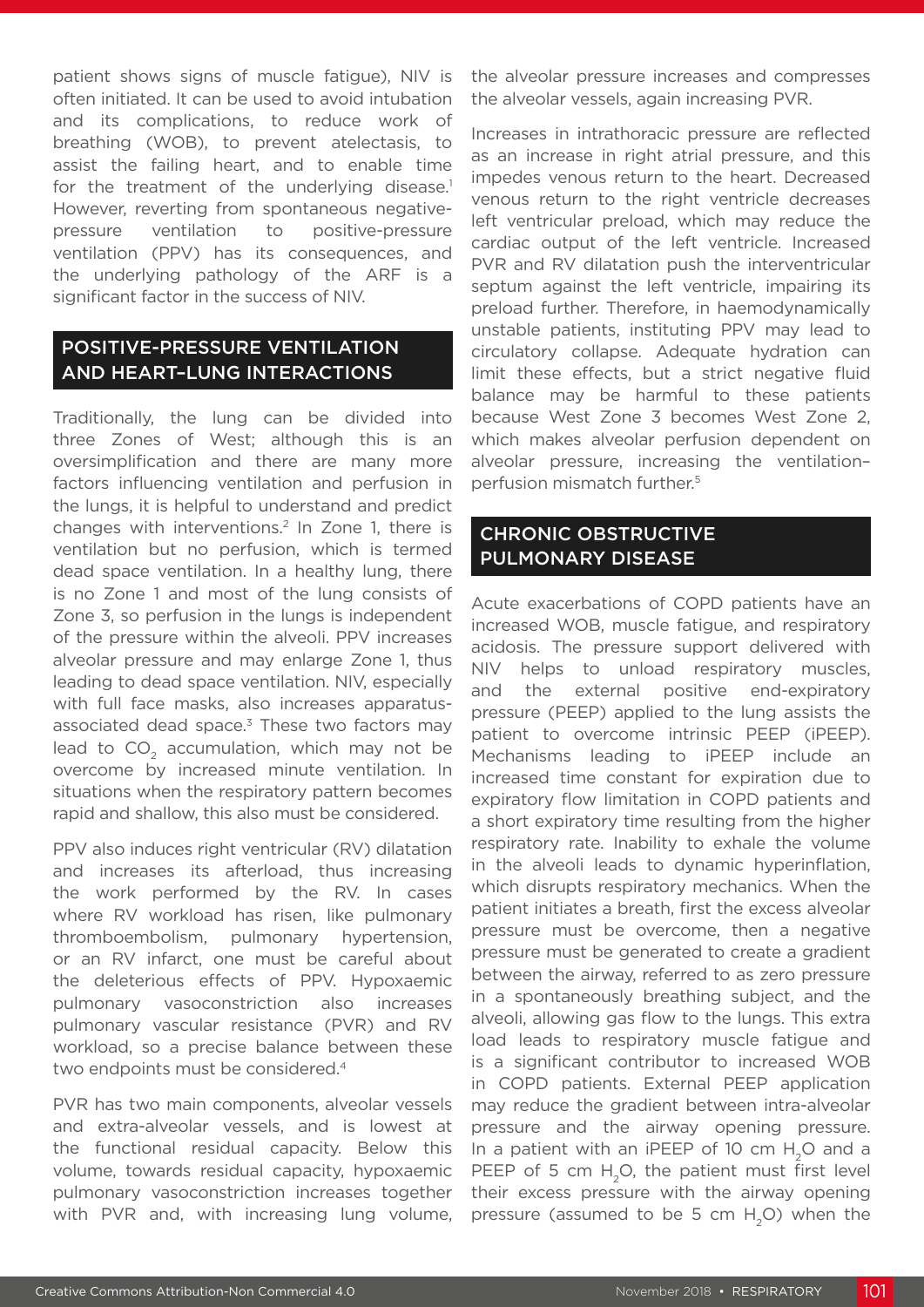patient shows signs of muscle fatigue), NIV is often initiated. It can be used to avoid intubation and its complications, to reduce work of breathing (WOB), to prevent atelectasis, to assist the failing heart, and to enable time for the treatment of the underlying disease.<sup>1</sup> However, reverting from spontaneous negativepressure ventilation to positive-pressure ventilation (PPV) has its consequences, and the underlying pathology of the ARF is a significant factor in the success of NIV.

## POSITIVE-PRESSURE VENTILATION AND HEART–LUNG INTERACTIONS

Traditionally, the lung can be divided into three Zones of West; although this is an oversimplification and there are many more factors influencing ventilation and perfusion in the lungs, it is helpful to understand and predict changes with interventions.2 In Zone 1, there is ventilation but no perfusion, which is termed dead space ventilation. In a healthy lung, there is no Zone 1 and most of the lung consists of Zone 3, so perfusion in the lungs is independent of the pressure within the alveoli. PPV increases alveolar pressure and may enlarge Zone 1, thus leading to dead space ventilation. NIV, especially with full face masks, also increases apparatusassociated dead space.<sup>3</sup> These two factors may lead to CO<sub>2</sub> accumulation, which may not be overcome by increased minute ventilation. In situations when the respiratory pattern becomes rapid and shallow, this also must be considered.

PPV also induces right ventricular (RV) dilatation and increases its afterload, thus increasing the work performed by the RV. In cases where RV workload has risen, like pulmonary thromboembolism, pulmonary hypertension, or an RV infarct, one must be careful about the deleterious effects of PPV. Hypoxaemic pulmonary vasoconstriction also increases pulmonary vascular resistance (PVR) and RV workload, so a precise balance between these two endpoints must be considered.<sup>4</sup>

PVR has two main components, alveolar vessels and extra-alveolar vessels, and is lowest at the functional residual capacity. Below this volume, towards residual capacity, hypoxaemic pulmonary vasoconstriction increases together with PVR and, with increasing lung volume, the alveolar pressure increases and compresses the alveolar vessels, again increasing PVR.

Increases in intrathoracic pressure are reflected as an increase in right atrial pressure, and this impedes venous return to the heart. Decreased venous return to the right ventricle decreases left ventricular preload, which may reduce the cardiac output of the left ventricle. Increased PVR and RV dilatation push the interventricular septum against the left ventricle, impairing its preload further. Therefore, in haemodynamically unstable patients, instituting PPV may lead to circulatory collapse. Adequate hydration can limit these effects, but a strict negative fluid balance may be harmful to these patients because West Zone 3 becomes West Zone 2, which makes alveolar perfusion dependent on alveolar pressure, increasing the ventilation– perfusion mismatch further.5

## CHRONIC OBSTRUCTIVE PULMONARY DISEASE

Acute exacerbations of COPD patients have an increased WOB, muscle fatigue, and respiratory acidosis. The pressure support delivered with NIV helps to unload respiratory muscles, and the external positive end-expiratory pressure (PEEP) applied to the lung assists the patient to overcome intrinsic PEEP (iPEEP). Mechanisms leading to iPEEP include an increased time constant for expiration due to expiratory flow limitation in COPD patients and a short expiratory time resulting from the higher respiratory rate. Inability to exhale the volume in the alveoli leads to dynamic hyperinflation, which disrupts respiratory mechanics. When the patient initiates a breath, first the excess alveolar pressure must be overcome, then a negative pressure must be generated to create a gradient between the airway, referred to as zero pressure in a spontaneously breathing subject, and the alveoli, allowing gas flow to the lungs. This extra load leads to respiratory muscle fatigue and is a significant contributor to increased WOB in COPD patients. External PEEP application may reduce the gradient between intra-alveolar pressure and the airway opening pressure. In a patient with an iPEEP of 10 cm H<sub>2</sub>O and a PEEP of 5 cm  $H<sub>2</sub>O$ , the patient must first level their excess pressure with the airway opening pressure (assumed to be 5 cm  $H<sub>2</sub>O$ ) when the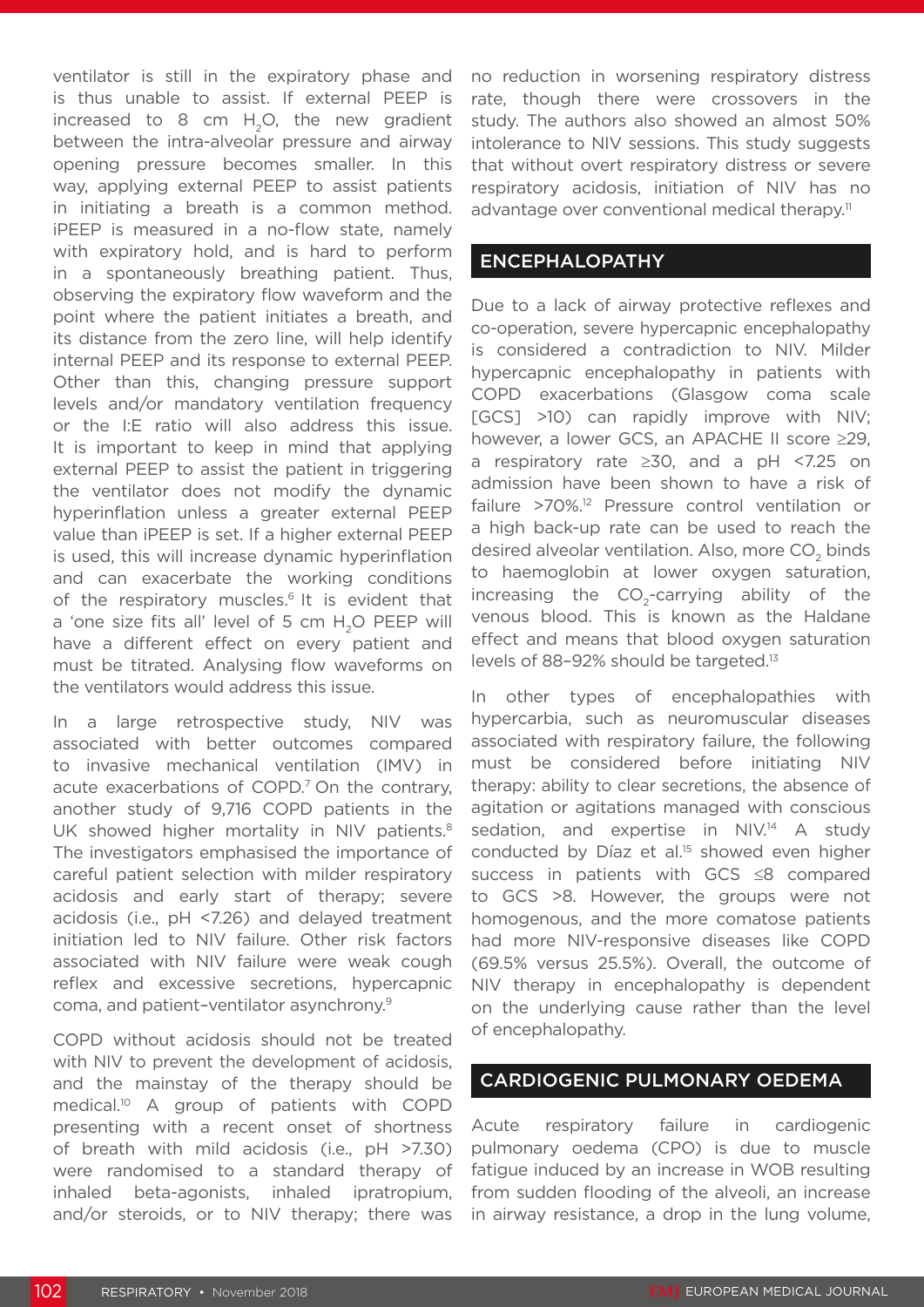ventilator is still in the expiratory phase and is thus unable to assist. If external PEEP is increased to  $8 \text{ cm}$  H<sub>2</sub>O, the new gradient between the intra-alveolar pressure and airway opening pressure becomes smaller. In this way, applying external PEEP to assist patients in initiating a breath is a common method. iPEEP is measured in a no-flow state, namely with expiratory hold, and is hard to perform in a spontaneously breathing patient. Thus, observing the expiratory flow waveform and the point where the patient initiates a breath, and its distance from the zero line, will help identify internal PEEP and its response to external PEEP. Other than this, changing pressure support levels and/or mandatory ventilation frequency or the I:E ratio will also address this issue. It is important to keep in mind that applying external PEEP to assist the patient in triggering the ventilator does not modify the dynamic hyperinflation unless a greater external PEEP value than iPEEP is set. If a higher external PEEP is used, this will increase dynamic hyperinflation and can exacerbate the working conditions of the respiratory muscles.<sup>6</sup> It is evident that a 'one size fits all' level of 5 cm H<sub>2</sub>O PEEP will have a different effect on every patient and must be titrated. Analysing flow waveforms on the ventilators would address this issue.

In a large retrospective study, NIV was associated with better outcomes compared to invasive mechanical ventilation (IMV) in acute exacerbations of COPD.<sup>7</sup> On the contrary, another study of 9,716 COPD patients in the UK showed higher mortality in NIV patients.<sup>8</sup> The investigators emphasised the importance of careful patient selection with milder respiratory acidosis and early start of therapy; severe acidosis (i.e., pH <7.26) and delayed treatment initiation led to NIV failure. Other risk factors associated with NIV failure were weak cough reflex and excessive secretions, hypercapnic coma, and patient–ventilator asynchrony.9

COPD without acidosis should not be treated with NIV to prevent the development of acidosis. and the mainstay of the therapy should be medical.10 A group of patients with COPD presenting with a recent onset of shortness of breath with mild acidosis (i.e., pH >7.30) were randomised to a standard therapy of inhaled beta-agonists, inhaled ipratropium, and/or steroids, or to NIV therapy; there was

no reduction in worsening respiratory distress rate, though there were crossovers in the study. The authors also showed an almost 50% intolerance to NIV sessions. This study suggests that without overt respiratory distress or severe respiratory acidosis, initiation of NIV has no advantage over conventional medical therapy.<sup>11</sup>

#### ENCEPHALOPATHY

Due to a lack of airway protective reflexes and co-operation, severe hypercapnic encephalopathy is considered a contradiction to NIV. Milder hypercapnic encephalopathy in patients with COPD exacerbations (Glasgow coma scale [GCS] >10) can rapidly improve with NIV; however, a lower GCS, an APACHE II score ≥29, a respiratory rate ≥30, and a pH <7.25 on admission have been shown to have a risk of failure >70%.12 Pressure control ventilation or a high back-up rate can be used to reach the desired alveolar ventilation. Also, more CO<sub>2</sub> binds to haemoglobin at lower oxygen saturation, increasing the CO<sub>2</sub>-carrying ability of the venous blood. This is known as the Haldane effect and means that blood oxygen saturation levels of 88-92% should be targeted.<sup>13</sup>

In other types of encephalopathies with hypercarbia, such as neuromuscular diseases associated with respiratory failure, the following must be considered before initiating NIV therapy: ability to clear secretions, the absence of agitation or agitations managed with conscious sedation, and expertise in NIV.<sup>14</sup> A study conducted by Díaz et al.<sup>15</sup> showed even higher success in patients with GCS ≤8 compared to GCS >8. However, the groups were not homogenous, and the more comatose patients had more NIV-responsive diseases like COPD (69.5% versus 25.5%). Overall, the outcome of NIV therapy in encephalopathy is dependent on the underlying cause rather than the level of encephalopathy.

#### CARDIOGENIC PULMONARY OEDEMA

Acute respiratory failure in cardiogenic pulmonary oedema (CPO) is due to muscle fatigue induced by an increase in WOB resulting from sudden flooding of the alveoli, an increase in airway resistance, a drop in the lung volume,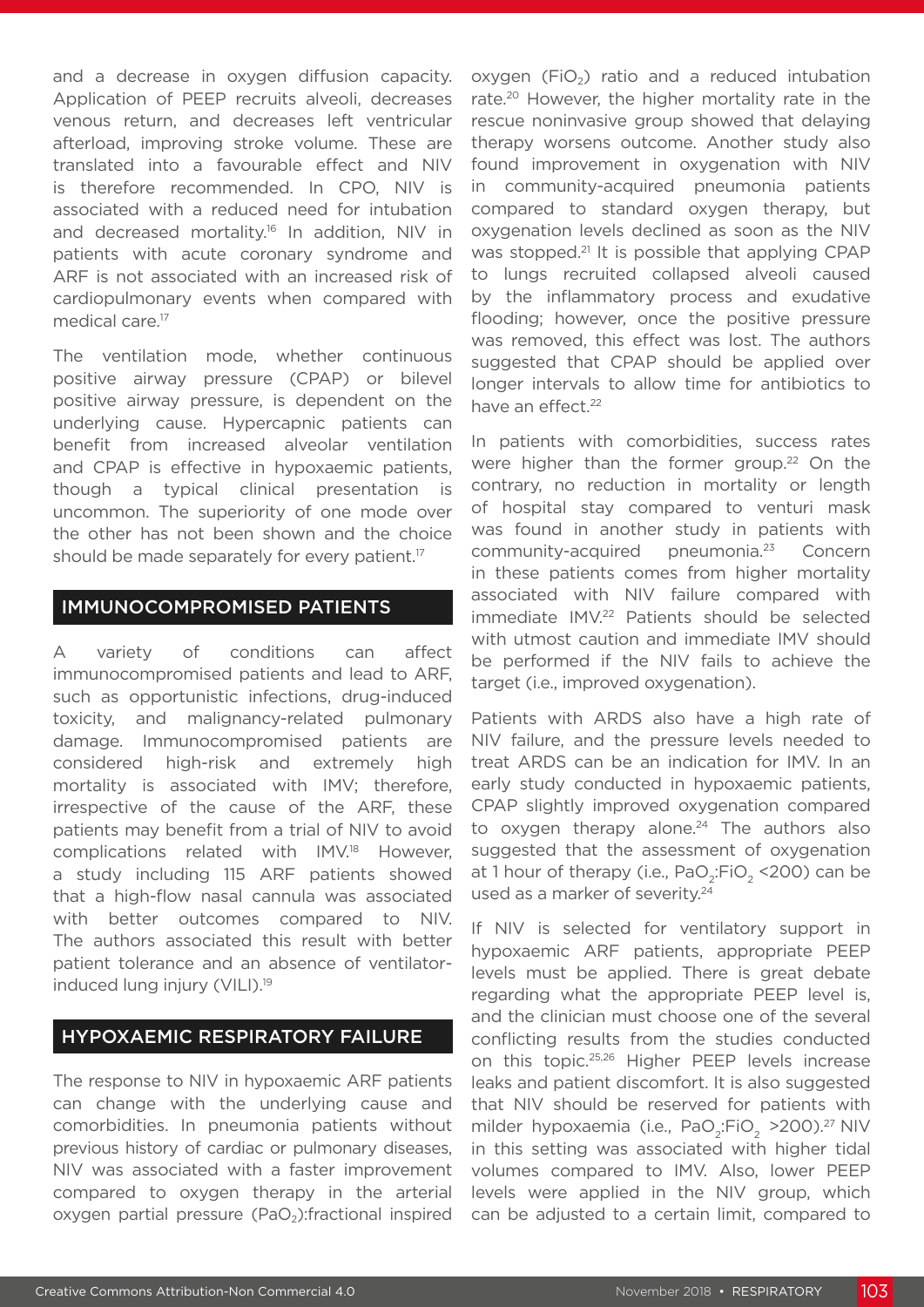and a decrease in oxygen diffusion capacity. Application of PEEP recruits alveoli, decreases venous return, and decreases left ventricular afterload, improving stroke volume. These are translated into a favourable effect and NIV is therefore recommended. In CPO, NIV is associated with a reduced need for intubation and decreased mortality.<sup>16</sup> In addition, NIV in patients with acute coronary syndrome and ARF is not associated with an increased risk of cardiopulmonary events when compared with medical care.<sup>17</sup>

The ventilation mode, whether continuous positive airway pressure (CPAP) or bilevel positive airway pressure, is dependent on the underlying cause. Hypercapnic patients can benefit from increased alveolar ventilation and CPAP is effective in hypoxaemic patients, though a typical clinical presentation is uncommon. The superiority of one mode over the other has not been shown and the choice should be made separately for every patient.<sup>17</sup>

#### IMMUNOCOMPROMISED PATIENTS

A variety of conditions can affect immunocompromised patients and lead to ARF, such as opportunistic infections, drug-induced toxicity, and malignancy-related pulmonary damage. Immunocompromised patients are considered high-risk and extremely high mortality is associated with IMV; therefore, irrespective of the cause of the ARF, these patients may benefit from a trial of NIV to avoid complications related with IMV.18 However, a study including 115 ARF patients showed that a high-flow nasal cannula was associated with better outcomes compared to NIV. The authors associated this result with better patient tolerance and an absence of ventilatorinduced lung injury (VILI).19

#### HYPOXAEMIC RESPIRATORY FAILURE

The response to NIV in hypoxaemic ARF patients can change with the underlying cause and comorbidities. In pneumonia patients without previous history of cardiac or pulmonary diseases, NIV was associated with a faster improvement compared to oxygen therapy in the arterial oxygen partial pressure  $(PaO<sub>2</sub>)$ : fractional inspired

oxygen  $(FiO<sub>2</sub>)$  ratio and a reduced intubation rate.<sup>20</sup> However, the higher mortality rate in the rescue noninvasive group showed that delaying therapy worsens outcome. Another study also found improvement in oxygenation with NIV in community-acquired pneumonia patients compared to standard oxygen therapy, but oxygenation levels declined as soon as the NIV was stopped.<sup>21</sup> It is possible that applying CPAP to lungs recruited collapsed alveoli caused by the inflammatory process and exudative flooding; however, once the positive pressure was removed, this effect was lost. The authors suggested that CPAP should be applied over longer intervals to allow time for antibiotics to have an effect.<sup>22</sup>

In patients with comorbidities, success rates were higher than the former group.<sup>22</sup> On the contrary, no reduction in mortality or length of hospital stay compared to venturi mask was found in another study in patients with community-acquired pneumonia.23 Concern in these patients comes from higher mortality associated with NIV failure compared with immediate IMV.<sup>22</sup> Patients should be selected with utmost caution and immediate IMV should be performed if the NIV fails to achieve the target (i.e., improved oxygenation).

Patients with ARDS also have a high rate of NIV failure, and the pressure levels needed to treat ARDS can be an indication for IMV. In an early study conducted in hypoxaemic patients, CPAP slightly improved oxygenation compared to oxygen therapy alone. $24$  The authors also suggested that the assessment of oxygenation at 1 hour of therapy (i.e.,  $PaO<sub>2</sub>:FiO<sub>2</sub>$  <200) can be used as a marker of severity.<sup>24</sup>

If NIV is selected for ventilatory support in hypoxaemic ARF patients, appropriate PEEP levels must be applied. There is great debate regarding what the appropriate PEEP level is, and the clinician must choose one of the several conflicting results from the studies conducted on this topic.25,26 Higher PEEP levels increase leaks and patient discomfort. It is also suggested that NIV should be reserved for patients with milder hypoxaemia (i.e., PaO<sub>2</sub>:FiO<sub>2</sub> > 200).<sup>27</sup> NIV in this setting was associated with higher tidal volumes compared to IMV. Also, lower PEEP levels were applied in the NIV group, which can be adjusted to a certain limit, compared to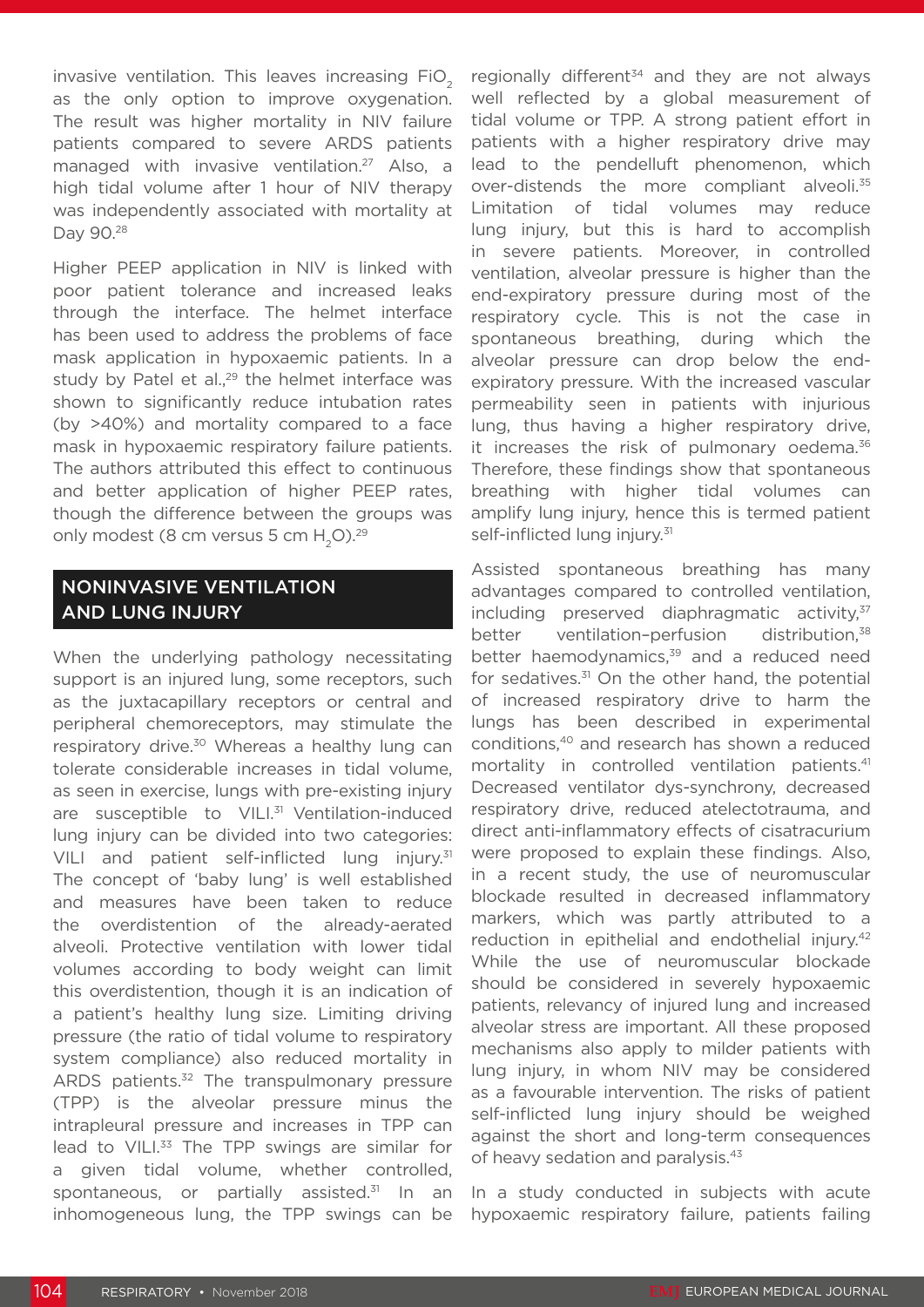invasive ventilation. This leaves increasing  $FiO<sub>2</sub>$ as the only option to improve oxygenation. The result was higher mortality in NIV failure patients compared to severe ARDS patients managed with invasive ventilation.<sup>27</sup> Also, a high tidal volume after 1 hour of NIV therapy was independently associated with mortality at Day 90.28

Higher PEEP application in NIV is linked with poor patient tolerance and increased leaks through the interface. The helmet interface has been used to address the problems of face mask application in hypoxaemic patients. In a study by Patel et al., $29$  the helmet interface was shown to significantly reduce intubation rates (by >40%) and mortality compared to a face mask in hypoxaemic respiratory failure patients. The authors attributed this effect to continuous and better application of higher PEEP rates, though the difference between the groups was only modest (8 cm versus 5 cm  $H<sub>2</sub>O<sub>29</sub>$ 

## NONINVASIVE VENTILATION AND LUNG INJURY

When the underlying pathology necessitating support is an injured lung, some receptors, such as the juxtacapillary receptors or central and peripheral chemoreceptors, may stimulate the respiratory drive.<sup>30</sup> Whereas a healthy lung can tolerate considerable increases in tidal volume, as seen in exercise, lungs with pre-existing injury are susceptible to VILI.<sup>31</sup> Ventilation-induced lung injury can be divided into two categories: VILI and patient self-inflicted lung injury.<sup>31</sup> The concept of 'baby lung' is well established and measures have been taken to reduce the overdistention of the already-aerated alveoli. Protective ventilation with lower tidal volumes according to body weight can limit this overdistention, though it is an indication of a patient's healthy lung size. Limiting driving pressure (the ratio of tidal volume to respiratory system compliance) also reduced mortality in ARDS patients.<sup>32</sup> The transpulmonary pressure (TPP) is the alveolar pressure minus the intrapleural pressure and increases in TPP can lead to VILI.<sup>33</sup> The TPP swings are similar for a given tidal volume, whether controlled, spontaneous, or partially assisted.<sup>31</sup> In an inhomogeneous lung, the TPP swings can be

regionally different $34$  and they are not always well reflected by a global measurement of tidal volume or TPP. A strong patient effort in patients with a higher respiratory drive may lead to the pendelluft phenomenon, which over-distends the more compliant alveoli.<sup>35</sup> Limitation of tidal volumes may reduce lung injury, but this is hard to accomplish in severe patients. Moreover, in controlled ventilation, alveolar pressure is higher than the end-expiratory pressure during most of the respiratory cycle. This is not the case in spontaneous breathing, during which the alveolar pressure can drop below the endexpiratory pressure. With the increased vascular permeability seen in patients with injurious lung, thus having a higher respiratory drive, it increases the risk of pulmonary oedema. $36$ Therefore, these findings show that spontaneous breathing with higher tidal volumes can amplify lung injury, hence this is termed patient self-inflicted lung injury.<sup>31</sup>

Assisted spontaneous breathing has many advantages compared to controlled ventilation, including preserved diaphragmatic activity, $37$ better ventilation-perfusion distribution,<sup>38</sup> better haemodynamics,<sup>39</sup> and a reduced need for sedatives. $31$  On the other hand, the potential of increased respiratory drive to harm the lungs has been described in experimental conditions,40 and research has shown a reduced mortality in controlled ventilation patients.<sup>41</sup> Decreased ventilator dys-synchrony, decreased respiratory drive, reduced atelectotrauma, and direct anti-inflammatory effects of cisatracurium were proposed to explain these findings. Also, in a recent study, the use of neuromuscular blockade resulted in decreased inflammatory markers, which was partly attributed to a reduction in epithelial and endothelial injury.<sup>42</sup> While the use of neuromuscular blockade should be considered in severely hypoxaemic patients, relevancy of injured lung and increased alveolar stress are important. All these proposed mechanisms also apply to milder patients with lung injury, in whom NIV may be considered as a favourable intervention. The risks of patient self-inflicted lung injury should be weighed against the short and long-term consequences of heavy sedation and paralysis.<sup>43</sup>

In a study conducted in subjects with acute hypoxaemic respiratory failure, patients failing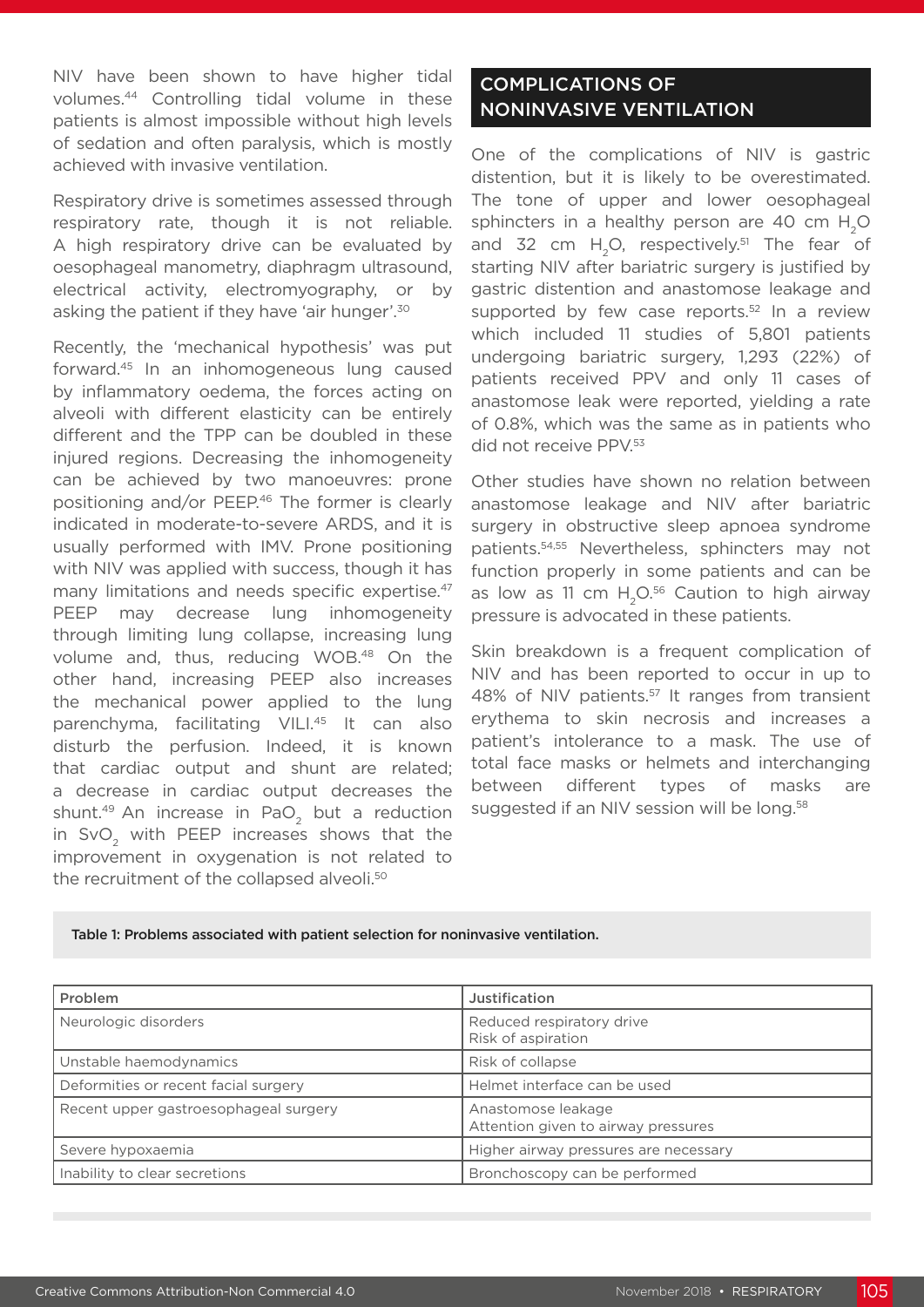NIV have been shown to have higher tidal volumes.44 Controlling tidal volume in these patients is almost impossible without high levels of sedation and often paralysis, which is mostly achieved with invasive ventilation.

Respiratory drive is sometimes assessed through respiratory rate, though it is not reliable. A high respiratory drive can be evaluated by oesophageal manometry, diaphragm ultrasound, electrical activity, electromyography, or by asking the patient if they have 'air hunger'.30

Recently, the 'mechanical hypothesis' was put forward.45 In an inhomogeneous lung caused by inflammatory oedema, the forces acting on alveoli with different elasticity can be entirely different and the TPP can be doubled in these injured regions. Decreasing the inhomogeneity can be achieved by two manoeuvres: prone positioning and/or PEEP.<sup>46</sup> The former is clearly indicated in moderate-to-severe ARDS, and it is usually performed with IMV. Prone positioning with NIV was applied with success, though it has many limitations and needs specific expertise.<sup>47</sup> PEEP may decrease lung inhomogeneity through limiting lung collapse, increasing lung volume and, thus, reducing WOB.48 On the other hand, increasing PEEP also increases the mechanical power applied to the lung parenchyma, facilitating VILI.<sup>45</sup> It can also disturb the perfusion. Indeed, it is known that cardiac output and shunt are related; a decrease in cardiac output decreases the shunt.<sup>49</sup> An increase in PaO<sub>2</sub> but a reduction in SvO<sub>2</sub> with PEEP increases shows that the improvement in oxygenation is not related to the recruitment of the collapsed alveoli.<sup>50</sup>

## COMPLICATIONS OF NONINVASIVE VENTILATION

One of the complications of NIV is gastric distention, but it is likely to be overestimated. The tone of upper and lower oesophageal sphincters in a healthy person are 40 cm H<sub>2</sub>O and 32 cm  $H<sub>2</sub>O$ , respectively.<sup>51</sup> The fear of starting NIV after bariatric surgery is justified by gastric distention and anastomose leakage and supported by few case reports.<sup>52</sup> In a review which included 11 studies of 5,801 patients undergoing bariatric surgery, 1,293 (22%) of patients received PPV and only 11 cases of anastomose leak were reported, yielding a rate of 0.8%, which was the same as in patients who did not receive PPV.53

Other studies have shown no relation between anastomose leakage and NIV after bariatric surgery in obstructive sleep apnoea syndrome patients.54,55 Nevertheless, sphincters may not function properly in some patients and can be as low as 11 cm  $H<sub>2</sub>O<sub>56</sub>$  Caution to high airway pressure is advocated in these patients.

Skin breakdown is a frequent complication of NIV and has been reported to occur in up to 48% of NIV patients.<sup>57</sup> It ranges from transient erythema to skin necrosis and increases a patient's intolerance to a mask. The use of total face masks or helmets and interchanging between different types of masks are suggested if an NIV session will be long.<sup>58</sup>

| Problem                               | Justification                                             |
|---------------------------------------|-----------------------------------------------------------|
| Neurologic disorders                  | Reduced respiratory drive<br>Risk of aspiration           |
| Unstable haemodynamics                | Risk of collapse                                          |
| Deformities or recent facial surgery  | Helmet interface can be used                              |
| Recent upper gastroesophageal surgery | Anastomose leakage<br>Attention given to airway pressures |
| Severe hypoxaemia                     | Higher airway pressures are necessary                     |
| Inability to clear secretions         | Bronchoscopy can be performed                             |
|                                       |                                                           |

Table 1: Problems associated with patient selection for noninvasive ventilation.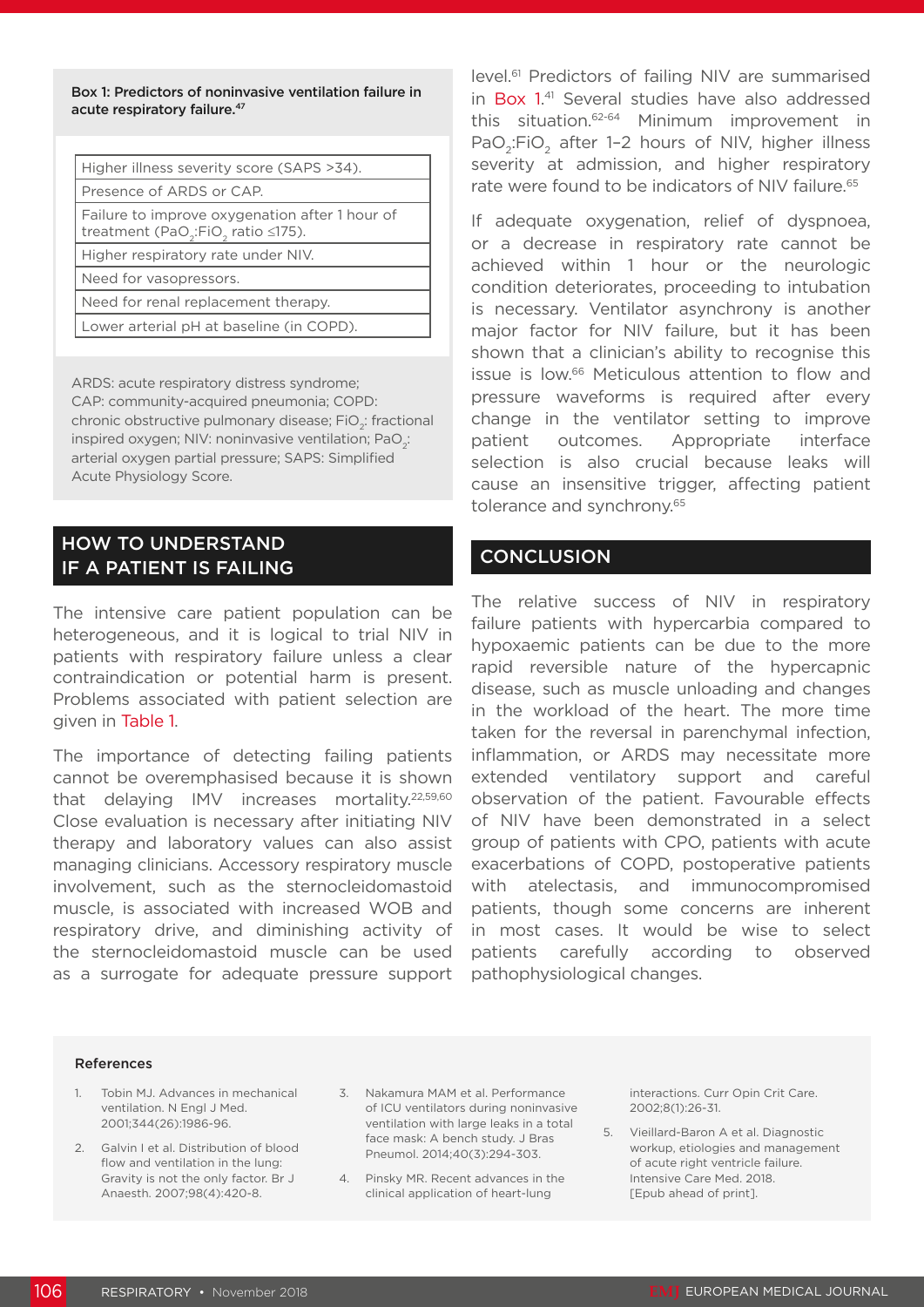Box 1: Predictors of noninvasive ventilation failure in acute respiratory failure.<sup>47</sup>

| Higher illness severity score (SAPS >34).                                                                          |  |
|--------------------------------------------------------------------------------------------------------------------|--|
| Presence of ARDS or CAP.                                                                                           |  |
| Failure to improve oxygenation after 1 hour of<br>treatment (PaO <sub>2</sub> :FiO <sub>2</sub> ratio $\leq$ 175). |  |
| Higher respiratory rate under NIV.                                                                                 |  |
| Need for vasopressors.                                                                                             |  |
| Need for renal replacement therapy.                                                                                |  |
| Lower arterial pH at baseline (in COPD).                                                                           |  |
|                                                                                                                    |  |

ARDS: acute respiratory distress syndrome; CAP: community-acquired pneumonia; COPD: chronic obstructive pulmonary disease;  $FiO<sub>2</sub>$ : fractional inspired oxygen; NIV: noninvasive ventilation; PaO<sub>2</sub>: arterial oxygen partial pressure; SAPS: Simplified Acute Physiology Score.

## HOW TO UNDERSTAND IF A PATIENT IS FAILING

The intensive care patient population can be heterogeneous, and it is logical to trial NIV in patients with respiratory failure unless a clear contraindication or potential harm is present. Problems associated with patient selection are given in Table 1.

The importance of detecting failing patients cannot be overemphasised because it is shown that delaying IMV increases mortality.22,59,60 Close evaluation is necessary after initiating NIV therapy and laboratory values can also assist managing clinicians. Accessory respiratory muscle involvement, such as the sternocleidomastoid muscle, is associated with increased WOB and respiratory drive, and diminishing activity of the sternocleidomastoid muscle can be used as a surrogate for adequate pressure support

level.<sup>61</sup> Predictors of failing NIV are summarised in Box 1. 41 Several studies have also addressed this situation.62-64 Minimum improvement in PaO<sub>2</sub>:FiO<sub>2</sub> after 1-2 hours of NIV, higher illness severity at admission, and higher respiratory rate were found to be indicators of NIV failure.<sup>65</sup>

If adequate oxygenation, relief of dyspnoea, or a decrease in respiratory rate cannot be achieved within 1 hour or the neurologic condition deteriorates, proceeding to intubation is necessary. Ventilator asynchrony is another major factor for NIV failure, but it has been shown that a clinician's ability to recognise this issue is low.66 Meticulous attention to flow and pressure waveforms is required after every change in the ventilator setting to improve patient outcomes. Appropriate interface selection is also crucial because leaks will cause an insensitive trigger, affecting patient tolerance and synchrony.<sup>65</sup>

### **CONCLUSION**

The relative success of NIV in respiratory failure patients with hypercarbia compared to hypoxaemic patients can be due to the more rapid reversible nature of the hypercapnic disease, such as muscle unloading and changes in the workload of the heart. The more time taken for the reversal in parenchymal infection, inflammation, or ARDS may necessitate more extended ventilatory support and careful observation of the patient. Favourable effects of NIV have been demonstrated in a select group of patients with CPO, patients with acute exacerbations of COPD, postoperative patients with atelectasis, and immunocompromised patients, though some concerns are inherent in most cases. It would be wise to select patients carefully according to observed pathophysiological changes.

#### References

- 1. Tobin MJ. Advances in mechanical ventilation. N Engl J Med. 2001;344(26):1986-96.
- 2. Galvin I et al. Distribution of blood flow and ventilation in the lung: Gravity is not the only factor. Br J Anaesth. 2007;98(4):420-8.
- 3. Nakamura MAM et al. Performance of ICU ventilators during noninvasive ventilation with large leaks in a total face mask: A bench study. J Bras Pneumol. 2014;40(3):294-303.
- 4. Pinsky MR. Recent advances in the clinical application of heart-lung

interactions. Curr Opin Crit Care. 2002;8(1):26-31.

5. Vieillard-Baron A et al. Diagnostic workup, etiologies and management of acute right ventricle failure. Intensive Care Med. 2018. [Epub ahead of print].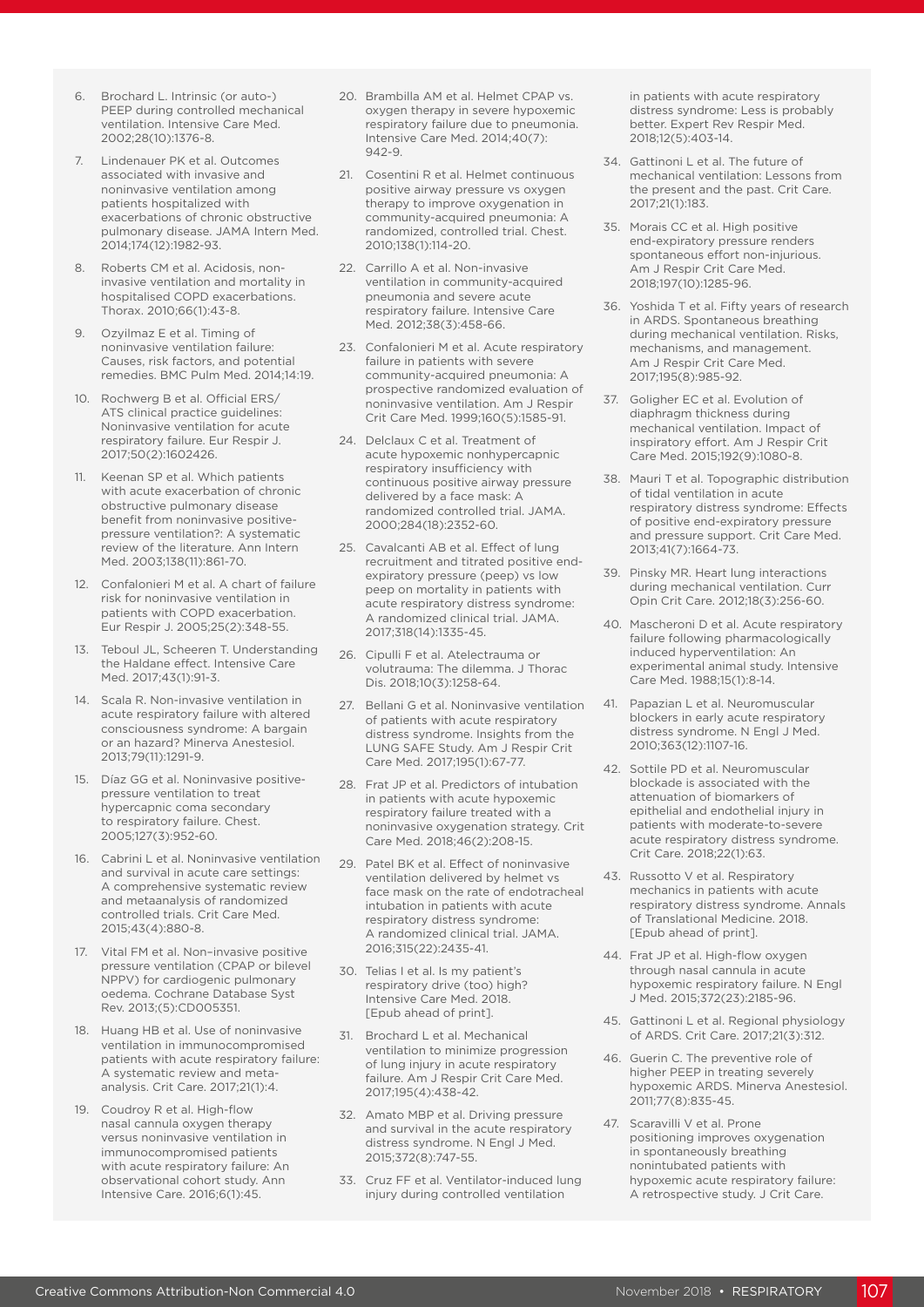- 6. Brochard L. Intrinsic (or auto-) PEEP during controlled mechanical ventilation. Intensive Care Med. 2002;28(10):1376-8.
- 7. Lindenauer PK et al. Outcomes associated with invasive and noninvasive ventilation among patients hospitalized with exacerbations of chronic obstructive pulmonary disease. JAMA Intern Med. 2014;174(12):1982-93.
- 8. Roberts CM et al. Acidosis, noninvasive ventilation and mortality in hospitalised COPD exacerbations. Thorax. 2010;66(1):43-8.
- 9. Ozyilmaz E et al. Timing of noninvasive ventilation failure: Causes, risk factors, and potential remedies. BMC Pulm Med. 2014;14:19.
- 10. Rochwerg B et al. Official ERS/ ATS clinical practice guidelines: Noninvasive ventilation for acute respiratory failure. Eur Respir J. 2017;50(2):1602426.
- 11. Keenan SP et al. Which patients with acute exacerbation of chronic obstructive pulmonary disease benefit from noninvasive positivepressure ventilation?: A systematic review of the literature. Ann Intern Med. 2003;138(11):861-70.
- 12. Confalonieri M et al. A chart of failure risk for noninvasive ventilation in patients with COPD exacerbation. Eur Respir J. 2005;25(2):348-55.
- 13. Teboul JL, Scheeren T. Understanding the Haldane effect. Intensive Care Med. 2017;43(1):91-3.
- 14. Scala R. Non-invasive ventilation in acute respiratory failure with altered consciousness syndrome: A bargain or an hazard? Minerva Anestesiol. 2013;79(11):1291-9.
- 15. Díaz GG et al. Noninvasive positivepressure ventilation to treat hypercapnic coma secondary to respiratory failure. Chest. 2005;127(3):952-60.
- 16. Cabrini L et al. Noninvasive ventilation and survival in acute care settings: A comprehensive systematic review and metaanalysis of randomized controlled trials. Crit Care Med. 2015;43(4):880-8.
- 17. Vital FM et al. Non–invasive positive pressure ventilation (CPAP or bilevel NPPV) for cardiogenic pulmonary oedema. Cochrane Database Syst Rev. 2013;(5):CD005351.
- 18. Huang HB et al. Use of noninvasive ventilation in immunocompromised patients with acute respiratory failure: A systematic review and metaanalysis. Crit Care. 2017;21(1):4.
- 19. Coudroy R et al. High-flow nasal cannula oxygen therapy versus noninvasive ventilation in immunocompromised patients with acute respiratory failure: An observational cohort study. Ann Intensive Care. 2016;6(1):45.
- 20. Brambilla AM et al. Helmet CPAP vs. oxygen therapy in severe hypoxemic respiratory failure due to pneumonia. Intensive Care Med. 2014;40(7): 942-9.
- 21. Cosentini R et al. Helmet continuous positive airway pressure vs oxygen therapy to improve oxygenation in community-acquired pneumonia: A randomized, controlled trial. Chest. 2010;138(1):114-20.
- 22. Carrillo A et al. Non-invasive ventilation in community-acquired pneumonia and severe acute respiratory failure. Intensive Care Med. 2012;38(3):458-66.
- 23. Confalonieri M et al. Acute respiratory failure in patients with severe community-acquired pneumonia: A prospective randomized evaluation of noninvasive ventilation. Am J Respir Crit Care Med. 1999;160(5):1585-91.
- 24. Delclaux C et al. Treatment of acute hypoxemic nonhypercapnic respiratory insufficiency with continuous positive airway pressure delivered by a face mask: A randomized controlled trial. JAMA. 2000;284(18):2352-60.
- 25. Cavalcanti AB et al. Effect of lung recruitment and titrated positive endexpiratory pressure (peep) vs low peep on mortality in patients with acute respiratory distress syndrome: A randomized clinical trial. JAMA. 2017;318(14):1335-45.
- 26. Cipulli F et al. Atelectrauma or volutrauma: The dilemma. J Thorac Dis. 2018;10(3):1258-64.
- 27. Bellani G et al. Noninvasive ventilation of patients with acute respiratory distress syndrome. Insights from the LUNG SAFE Study. Am J Respir Crit Care Med. 2017;195(1):67-77.
- 28. Frat JP et al. Predictors of intubation in patients with acute hypoxemic respiratory failure treated with a noninvasive oxygenation strategy. Crit Care Med. 2018;46(2):208-15.
- 29. Patel BK et al. Effect of noninvasive ventilation delivered by helmet vs face mask on the rate of endotracheal intubation in patients with acute respiratory distress syndrome: A randomized clinical trial. JAMA. 2016;315(22):2435-41.
- 30. Telias I et al. Is my patient's respiratory drive (too) high? Intensive Care Med. 2018. [Epub ahead of print].
- 31. Brochard L et al. Mechanical ventilation to minimize progression of lung injury in acute respiratory failure. Am J Respir Crit Care Med. 2017;195(4):438-42.
- 32. Amato MBP et al. Driving pressure and survival in the acute respiratory distress syndrome. N Engl J Med. 2015;372(8):747-55.
- 33. Cruz FF et al. Ventilator-induced lung injury during controlled ventilation

in patients with acute respiratory distress syndrome: Less is probably better. Expert Rev Respir Med. 2018;12(5):403-14.

- 34. Gattinoni L et al. The future of mechanical ventilation: Lessons from the present and the past. Crit Care. 2017;21(1):183.
- 35. Morais CC et al. High positive end-expiratory pressure renders spontaneous effort non-injurious. Am J Respir Crit Care Med. 2018;197(10):1285-96.
- 36. Yoshida T et al. Fifty years of research in ARDS. Spontaneous breathing during mechanical ventilation. Risks, mechanisms, and management. Am J Respir Crit Care Med. 2017;195(8):985-92.
- 37. Goligher EC et al. Evolution of diaphragm thickness during mechanical ventilation. Impact of inspiratory effort. Am J Respir Crit Care Med. 2015;192(9):1080-8.
- 38. Mauri T et al. Topographic distribution of tidal ventilation in acute respiratory distress syndrome: Effects of positive end-expiratory pressure and pressure support. Crit Care Med. 2013;41(7):1664-73.
- 39. Pinsky MR. Heart lung interactions during mechanical ventilation. Curr Opin Crit Care. 2012;18(3):256-60.
- 40. Mascheroni D et al. Acute respiratory failure following pharmacologically induced hyperventilation: An experimental animal study. Intensive Care Med. 1988;15(1):8-14.
- 41. Papazian L et al. Neuromuscular blockers in early acute respiratory distress syndrome. N Engl J Med. 2010;363(12):1107-16.
- 42. Sottile PD et al. Neuromuscular blockade is associated with the attenuation of biomarkers of epithelial and endothelial injury in patients with moderate-to-severe acute respiratory distress syndrome. Crit Care. 2018;22(1):63.
- 43. Russotto V et al. Respiratory mechanics in patients with acute respiratory distress syndrome. Annals of Translational Medicine. 2018. [Epub ahead of print].
- 44. Frat JP et al. High-flow oxygen through nasal cannula in acute hypoxemic respiratory failure. N Engl J Med. 2015;372(23):2185-96.
- 45. Gattinoni L et al. Regional physiology of ARDS. Crit Care. 2017;21(3):312.
- 46. Guerin C. The preventive role of higher PEEP in treating severely hypoxemic ARDS. Minerva Anestesiol. 2011;77(8):835-45.
- 47. Scaravilli V et al. Prone positioning improves oxygenation in spontaneously breathing nonintubated patients with hypoxemic acute respiratory failure: A retrospective study. J Crit Care.